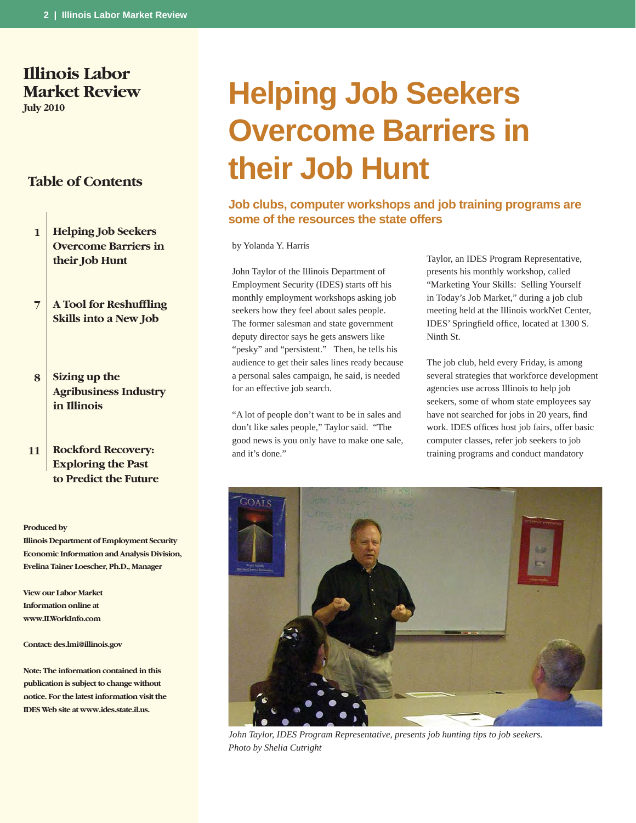# **Illinois Labor Market Review**

**July 2010**

# **Table of Contents**

- **1 Helping Job Seekers Overcome Barriers in their Job Hunt**
- **7 A Tool for Reshuffling Skills into a New Job**
- **8 Sizing up the Agribusiness Industry in Illinois**
- **11 Rockford Recovery: Exploring the Past to Predict the Future**

#### **Produced by**

**Illinois Department of Employment Security Economic Information and Analysis Division, Evelina Tainer Loescher, Ph.D., Manager**

**View our Labor Market Information online at www.ILWorkInfo.com**

#### **Contact: des.lmi@illinois.gov**

**Note: The information contained in this publication is subject to change without notice. For the latest information visit the IDES Web site at www.ides.state.il.us.**

# **Helping Job Seekers Overcome Barriers in their Job Hunt**

# **Job clubs, computer workshops and job training programs are some of the resources the state offers**

by Yolanda Y. Harris

John Taylor of the Illinois Department of Employment Security (IDES) starts off his monthly employment workshops asking job seekers how they feel about sales people. The former salesman and state government deputy director says he gets answers like "pesky" and "persistent." Then, he tells his audience to get their sales lines ready because a personal sales campaign, he said, is needed for an effective job search.

"A lot of people don't want to be in sales and don't like sales people," Taylor said. "The good news is you only have to make one sale, and it's done."

Taylor, an IDES Program Representative, presents his monthly workshop, called "Marketing Your Skills: Selling Yourself in Today's Job Market," during a job club meeting held at the Illinois workNet Center, IDES' Springfield office, located at 1300 S. Ninth St.

The job club, held every Friday, is among several strategies that workforce development agencies use across Illinois to help job seekers, some of whom state employees say have not searched for jobs in 20 years, find work. IDES offices host job fairs, offer basic computer classes, refer job seekers to job training programs and conduct mandatory



*John Taylor, IDES Program Representative, presents job hunting tips to job seekers. Photo by Shelia Cutright*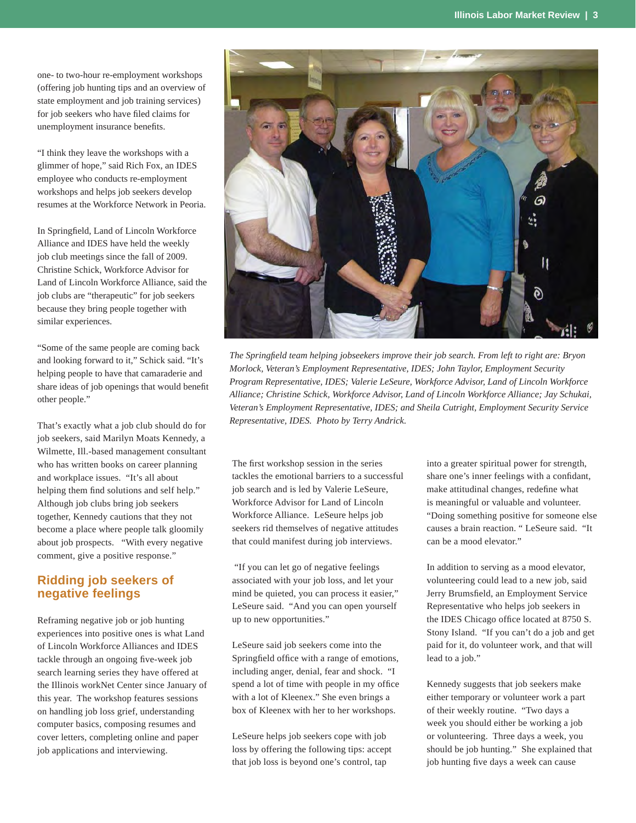one- to two-hour re-employment workshops (offering job hunting tips and an overview of state employment and job training services) for job seekers who have filed claims for unemployment insurance benefits.

"I think they leave the workshops with a glimmer of hope," said Rich Fox, an IDES employee who conducts re-employment workshops and helps job seekers develop resumes at the Workforce Network in Peoria.

In Springfield, Land of Lincoln Workforce Alliance and IDES have held the weekly job club meetings since the fall of 2009. Christine Schick, Workforce Advisor for Land of Lincoln Workforce Alliance, said the job clubs are "therapeutic" for job seekers because they bring people together with similar experiences.

"Some of the same people are coming back and looking forward to it," Schick said. "It's helping people to have that camaraderie and share ideas of job openings that would benefit other people."

That's exactly what a job club should do for job seekers, said Marilyn Moats Kennedy, a Wilmette, Ill.-based management consultant who has written books on career planning and workplace issues. "It's all about helping them find solutions and self help." Although job clubs bring job seekers together, Kennedy cautions that they not become a place where people talk gloomily about job prospects. "With every negative comment, give a positive response."

# **Ridding job seekers of negative feelings**

Reframing negative job or job hunting experiences into positive ones is what Land of Lincoln Workforce Alliances and IDES tackle through an ongoing five-week job search learning series they have offered at the Illinois workNet Center since January of this year. The workshop features sessions on handling job loss grief, understanding computer basics, composing resumes and cover letters, completing online and paper job applications and interviewing.



*The Springfi eld team helping jobseekers improve their job search. From left to right are: Bryon Morlock, Veteran's Employment Representative, IDES; John Taylor, Employment Security Program Representative, IDES; Valerie LeSeure, Workforce Advisor, Land of Lincoln Workforce Alliance; Christine Schick, Workforce Advisor, Land of Lincoln Workforce Alliance; Jay Schukai, Veteran's Employment Representative, IDES; and Sheila Cutright, Employment Security Service Representative, IDES. Photo by Terry Andrick.*

The first workshop session in the series tackles the emotional barriers to a successful job search and is led by Valerie LeSeure, Workforce Advisor for Land of Lincoln Workforce Alliance. LeSeure helps job seekers rid themselves of negative attitudes that could manifest during job interviews.

 "If you can let go of negative feelings associated with your job loss, and let your mind be quieted, you can process it easier," LeSeure said. "And you can open yourself up to new opportunities."

LeSeure said job seekers come into the Springfield office with a range of emotions, including anger, denial, fear and shock. "I spend a lot of time with people in my office with a lot of Kleenex." She even brings a box of Kleenex with her to her workshops.

LeSeure helps job seekers cope with job loss by offering the following tips: accept that job loss is beyond one's control, tap

into a greater spiritual power for strength, share one's inner feelings with a confidant, make attitudinal changes, redefine what is meaningful or valuable and volunteer. "Doing something positive for someone else causes a brain reaction. " LeSeure said. "It can be a mood elevator."

In addition to serving as a mood elevator, volunteering could lead to a new job, said Jerry Brumsfield, an Employment Service Representative who helps job seekers in the IDES Chicago office located at 8750 S. Stony Island. "If you can't do a job and get paid for it, do volunteer work, and that will lead to a job."

Kennedy suggests that job seekers make either temporary or volunteer work a part of their weekly routine. "Two days a week you should either be working a job or volunteering. Three days a week, you should be job hunting." She explained that job hunting five days a week can cause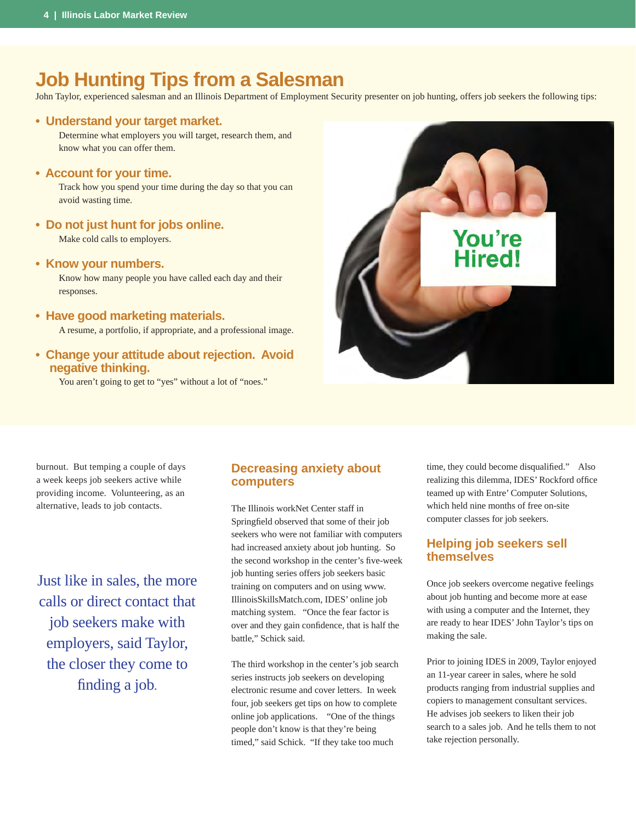# **Job Hunting Tips from a Salesman**

John Taylor, experienced salesman and an Illinois Department of Employment Security presenter on job hunting, offers job seekers the following tips:

### **• Understand your target market.**

Determine what employers you will target, research them, and know what you can offer them.

#### **• Account for your time.**

Track how you spend your time during the day so that you can avoid wasting time.

**• Do not just hunt for jobs online.** 

Make cold calls to employers.

#### **• Know your numbers.**

Know how many people you have called each day and their responses.

- **Have good marketing materials.** A resume, a portfolio, if appropriate, and a professional image.
- **Change your attitude about rejection. Avoid negative thinking.**

You aren't going to get to "yes" without a lot of "noes."



burnout. But temping a couple of days a week keeps job seekers active while providing income. Volunteering, as an alternative, leads to job contacts.

Just like in sales, the more calls or direct contact that job seekers make with employers, said Taylor, the closer they come to finding a job.

## **Decreasing anxiety about computers**

The Illinois workNet Center staff in Springfield observed that some of their job seekers who were not familiar with computers had increased anxiety about job hunting. So the second workshop in the center's five-week job hunting series offers job seekers basic training on computers and on using www. IllinoisSkillsMatch.com, IDES' online job matching system. "Once the fear factor is over and they gain confidence, that is half the battle," Schick said.

The third workshop in the center's job search series instructs job seekers on developing electronic resume and cover letters. In week four, job seekers get tips on how to complete online job applications. "One of the things people don't know is that they're being timed," said Schick. "If they take too much

time, they could become disqualified." Also realizing this dilemma, IDES' Rockford office teamed up with Entre' Computer Solutions, which held nine months of free on-site computer classes for job seekers.

# **Helping job seekers sell themselves**

Once job seekers overcome negative feelings about job hunting and become more at ease with using a computer and the Internet, they are ready to hear IDES' John Taylor's tips on making the sale.

Prior to joining IDES in 2009, Taylor enjoyed an 11-year career in sales, where he sold products ranging from industrial supplies and copiers to management consultant services. He advises job seekers to liken their job search to a sales job. And he tells them to not take rejection personally.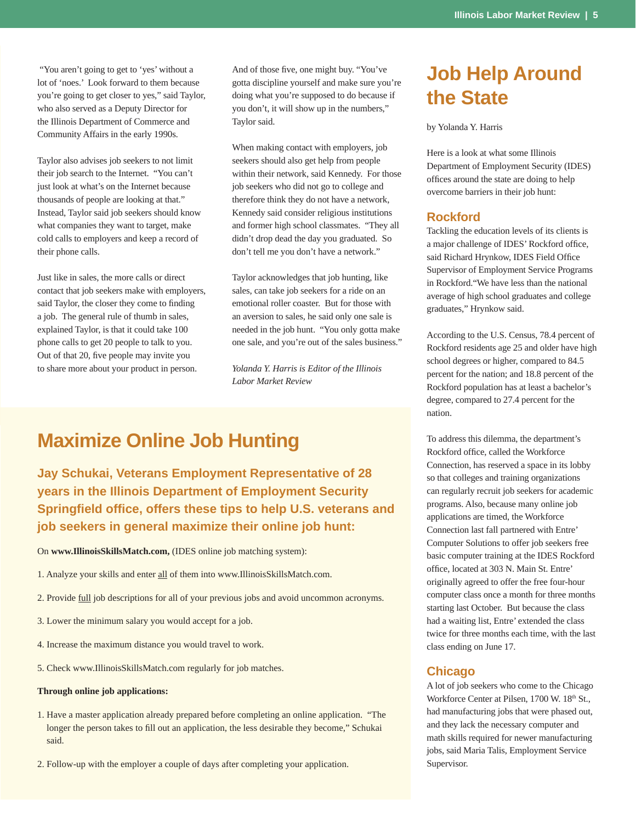"You aren't going to get to 'yes' without a lot of 'noes.' Look forward to them because you're going to get closer to yes," said Taylor, who also served as a Deputy Director for the Illinois Department of Commerce and Community Affairs in the early 1990s.

Taylor also advises job seekers to not limit their job search to the Internet. "You can't just look at what's on the Internet because thousands of people are looking at that." Instead, Taylor said job seekers should know what companies they want to target, make cold calls to employers and keep a record of their phone calls.

Just like in sales, the more calls or direct contact that job seekers make with employers, said Taylor, the closer they come to finding a job. The general rule of thumb in sales, explained Taylor, is that it could take 100 phone calls to get 20 people to talk to you. Out of that 20, five people may invite you to share more about your product in person.

And of those five, one might buy. "You've gotta discipline yourself and make sure you're doing what you're supposed to do because if you don't, it will show up in the numbers," Taylor said.

When making contact with employers, job seekers should also get help from people within their network, said Kennedy. For those job seekers who did not go to college and therefore think they do not have a network, Kennedy said consider religious institutions and former high school classmates. "They all didn't drop dead the day you graduated. So don't tell me you don't have a network."

Taylor acknowledges that job hunting, like sales, can take job seekers for a ride on an emotional roller coaster. But for those with an aversion to sales, he said only one sale is needed in the job hunt. "You only gotta make one sale, and you're out of the sales business."

*Yolanda Y. Harris is Editor of the Illinois Labor Market Review*

# **Maximize Online Job Hunting**

**Jay Schukai, Veterans Employment Representative of 28 years in the Illinois Department of Employment Security Springfi eld offi ce, offers these tips to help U.S. veterans and job seekers in general maximize their online job hunt:**

On **www.IllinoisSkillsMatch.com,** (IDES online job matching system):

- 1. Analyze your skills and enter all of them into www.IllinoisSkillsMatch.com.
- 2. Provide full job descriptions for all of your previous jobs and avoid uncommon acronyms.
- 3. Lower the minimum salary you would accept for a job.
- 4. Increase the maximum distance you would travel to work.
- 5. Check www.IllinoisSkillsMatch.com regularly for job matches.

#### **Through online job applications:**

- 1. Have a master application already prepared before completing an online application. "The longer the person takes to fill out an application, the less desirable they become," Schukai said.
- 2. Follow-up with the employer a couple of days after completing your application.

# **Job Help Around the State**

#### by Yolanda Y. Harris

Here is a look at what some Illinois Department of Employment Security (IDES) offices around the state are doing to help overcome barriers in their job hunt:

## **Rockford**

Tackling the education levels of its clients is a major challenge of IDES' Rockford office, said Richard Hrynkow, IDES Field Office Supervisor of Employment Service Programs in Rockford."We have less than the national average of high school graduates and college graduates," Hrynkow said.

According to the U.S. Census, 78.4 percent of Rockford residents age 25 and older have high school degrees or higher, compared to 84.5 percent for the nation; and 18.8 percent of the Rockford population has at least a bachelor's degree, compared to 27.4 percent for the nation.

To address this dilemma, the department's Rockford office, called the Workforce Connection, has reserved a space in its lobby so that colleges and training organizations can regularly recruit job seekers for academic programs. Also, because many online job applications are timed, the Workforce Connection last fall partnered with Entre' Computer Solutions to offer job seekers free basic computer training at the IDES Rockford office, located at 303 N. Main St. Entre' originally agreed to offer the free four-hour computer class once a month for three months starting last October. But because the class had a waiting list, Entre' extended the class twice for three months each time, with the last class ending on June 17.

#### **Chicago**

A lot of job seekers who come to the Chicago Workforce Center at Pilsen, 1700 W. 18<sup>th</sup> St., had manufacturing jobs that were phased out, and they lack the necessary computer and math skills required for newer manufacturing jobs, said Maria Talis, Employment Service Supervisor.